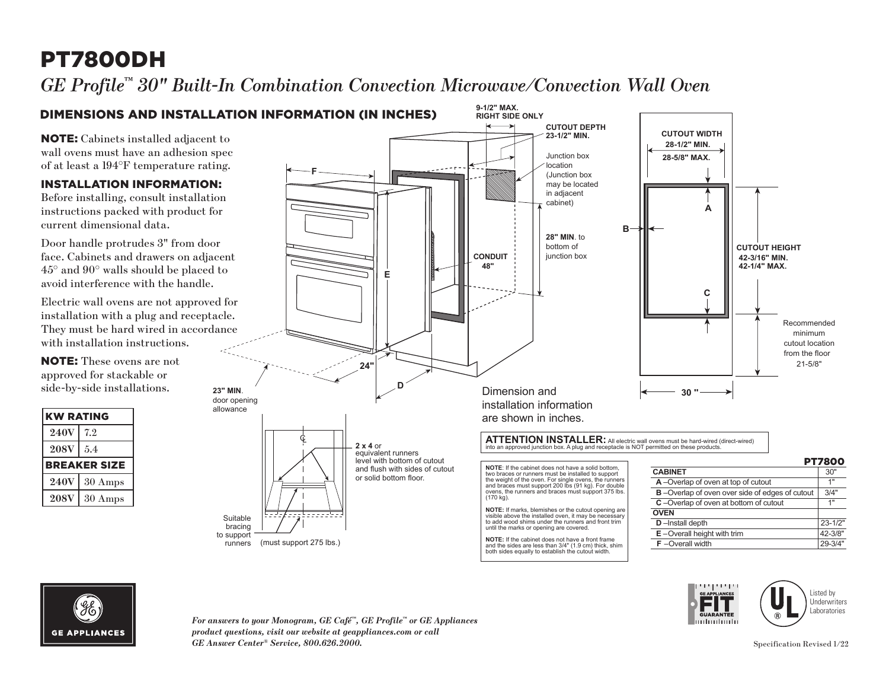# PT7800DH

*GE Profile™ 30" Built-In Combination Convection Microwave/Convection Wall Oven* 





*For answers to your Monogram, GE Café™, GE Profile™ or GE Appliances product questions, visit our website at geappliances.com or call GE Answer Center® Service, 800.626.2000.* Specification Revised 1/22

mluntmuh

Listed by **Underwriters** Laboratories